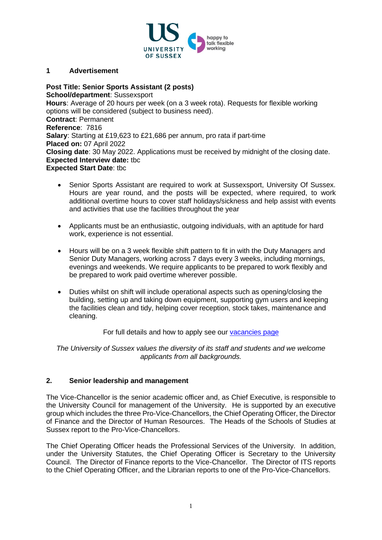

#### **1 Advertisement**

**Post Title: Senior Sports Assistant (2 posts) School/department**: Sussexsport **Hours**: Average of 20 hours per week (on a 3 week rota). Requests for flexible working options will be considered (subject to business need). **Contract**: Permanent **Reference**: 7816 **Salary**: Starting at £19,623 to £21,686 per annum, pro rata if part-time **Placed on:** 07 April 2022 **Closing date**: 30 May 2022. Applications must be received by midnight of the closing date. **Expected Interview date:** tbc **Expected Start Date**: tbc

- Senior Sports Assistant are required to work at Sussexsport, University Of Sussex. Hours are year round, and the posts will be expected, where required, to work additional overtime hours to cover staff holidays/sickness and help assist with events and activities that use the facilities throughout the year
- Applicants must be an enthusiastic, outgoing individuals, with an aptitude for hard work, experience is not essential.
- Hours will be on a 3 week flexible shift pattern to fit in with the Duty Managers and Senior Duty Managers, working across 7 days every 3 weeks, including mornings, evenings and weekends. We require applicants to be prepared to work flexibly and be prepared to work paid overtime wherever possible.
- Duties whilst on shift will include operational aspects such as opening/closing the building, setting up and taking down equipment, supporting gym users and keeping the facilities clean and tidy, helping cover reception, stock takes, maintenance and cleaning.

## For full details and how to apply see our [vacancies page](http://www.sussex.ac.uk/about/jobs)

*The University of Sussex values the diversity of its staff and students and we welcome applicants from all backgrounds.*

## **2. Senior leadership and management**

The Vice-Chancellor is the senior academic officer and, as Chief Executive, is responsible to the University Council for management of the University. He is supported by an executive group which includes the three Pro-Vice-Chancellors, the Chief Operating Officer, the Director of Finance and the Director of Human Resources. The Heads of the Schools of Studies at Sussex report to the Pro-Vice-Chancellors.

The Chief Operating Officer heads the Professional Services of the University. In addition, under the University Statutes, the Chief Operating Officer is Secretary to the University Council. The Director of Finance reports to the Vice-Chancellor. The Director of ITS reports to the Chief Operating Officer, and the Librarian reports to one of the Pro-Vice-Chancellors.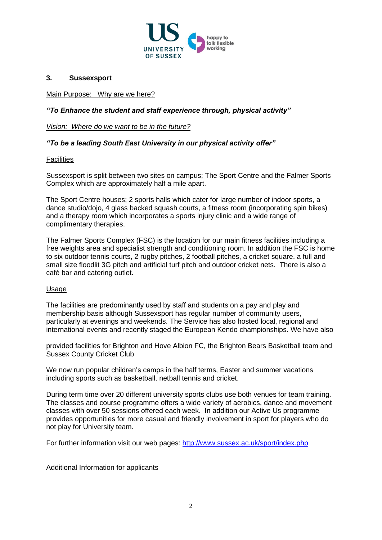

# **3. Sussexsport**

Main Purpose: Why are we here?

# *"To Enhance the student and staff experience through, physical activity"*

*Vision: Where do we want to be in the future?*

## *"To be a leading South East University in our physical activity offer"*

#### **Facilities**

Sussexsport is split between two sites on campus; The Sport Centre and the Falmer Sports Complex which are approximately half a mile apart.

The Sport Centre houses; 2 sports halls which cater for large number of indoor sports, a dance studio/dojo, 4 glass backed squash courts, a fitness room (incorporating spin bikes) and a therapy room which incorporates a sports injury clinic and a wide range of complimentary therapies.

The Falmer Sports Complex (FSC) is the location for our main fitness facilities including a free weights area and specialist strength and conditioning room. In addition the FSC is home to six outdoor tennis courts, 2 rugby pitches, 2 football pitches, a cricket square, a full and small size floodlit 3G pitch and artificial turf pitch and outdoor cricket nets. There is also a café bar and catering outlet.

## Usage

The facilities are predominantly used by staff and students on a pay and play and membership basis although Sussexsport has regular number of community users, particularly at evenings and weekends. The Service has also hosted local, regional and international events and recently staged the European Kendo championships. We have also

provided facilities for Brighton and Hove Albion FC, the Brighton Bears Basketball team and Sussex County Cricket Club

We now run popular children's camps in the half terms, Easter and summer vacations including sports such as basketball, netball tennis and cricket.

During term time over 20 different university sports clubs use both venues for team training. The classes and course programme offers a wide variety of aerobics, dance and movement classes with over 50 sessions offered each week. In addition our Active Us programme provides opportunities for more casual and friendly involvement in sport for players who do not play for University team.

For further information visit our web pages:<http://www.sussex.ac.uk/sport/index.php>

## Additional Information for applicants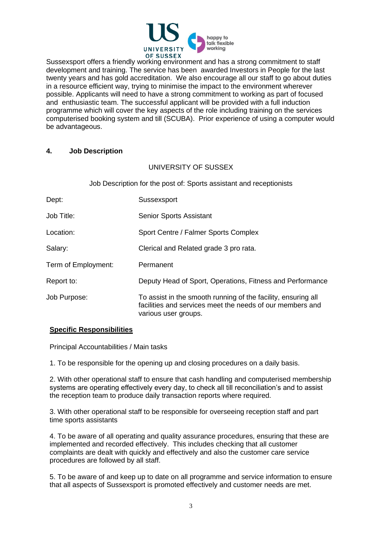

Sussexsport offers a friendly working environment and has a strong commitment to staff development and training. The service has been awarded Investors in People for the last twenty years and has gold accreditation. We also encourage all our staff to go about duties in a resource efficient way, trying to minimise the impact to the environment wherever possible. Applicants will need to have a strong commitment to working as part of focused and enthusiastic team. The successful applicant will be provided with a full induction programme which will cover the key aspects of the role including training on the services computerised booking system and till (SCUBA). Prior experience of using a computer would be advantageous.

## **4. Job Description**

# UNIVERSITY OF SUSSEX

Job Description for the post of: Sports assistant and receptionists

| Dept:               | Sussexsport                                                                                                                                        |
|---------------------|----------------------------------------------------------------------------------------------------------------------------------------------------|
| Job Title:          | <b>Senior Sports Assistant</b>                                                                                                                     |
| Location:           | Sport Centre / Falmer Sports Complex                                                                                                               |
| Salary:             | Clerical and Related grade 3 pro rata.                                                                                                             |
| Term of Employment: | Permanent                                                                                                                                          |
| Report to:          | Deputy Head of Sport, Operations, Fitness and Performance                                                                                          |
| Job Purpose:        | To assist in the smooth running of the facility, ensuring all<br>facilities and services meet the needs of our members and<br>various user groups. |

## **Specific Responsibilities**

Principal Accountabilities / Main tasks

1. To be responsible for the opening up and closing procedures on a daily basis.

2. With other operational staff to ensure that cash handling and computerised membership systems are operating effectively every day, to check all till reconciliation's and to assist the reception team to produce daily transaction reports where required.

3. With other operational staff to be responsible for overseeing reception staff and part time sports assistants

4. To be aware of all operating and quality assurance procedures, ensuring that these are implemented and recorded effectively. This includes checking that all customer complaints are dealt with quickly and effectively and also the customer care service procedures are followed by all staff.

5. To be aware of and keep up to date on all programme and service information to ensure that all aspects of Sussexsport is promoted effectively and customer needs are met.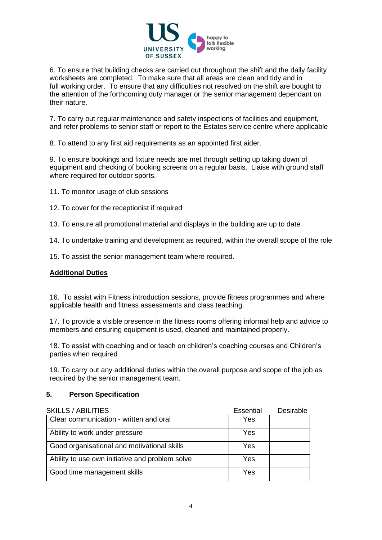

6. To ensure that building checks are carried out throughout the shift and the daily facility worksheets are completed. To make sure that all areas are clean and tidy and in full working order. To ensure that any difficulties not resolved on the shift are bought to the attention of the forthcoming duty manager or the senior management dependant on their nature.

7. To carry out regular maintenance and safety inspections of facilities and equipment, and refer problems to senior staff or report to the Estates service centre where applicable

8. To attend to any first aid requirements as an appointed first aider.

9. To ensure bookings and fixture needs are met through setting up taking down of equipment and checking of booking screens on a regular basis. Liaise with ground staff where required for outdoor sports.

- 11. To monitor usage of club sessions
- 12. To cover for the receptionist if required
- 13. To ensure all promotional material and displays in the building are up to date.

14. To undertake training and development as required, within the overall scope of the role

15. To assist the senior management team where required.

## **Additional Duties**

16. To assist with Fitness introduction sessions, provide fitness programmes and where applicable health and fitness assessments and class teaching.

17. To provide a visible presence in the fitness rooms offering informal help and advice to members and ensuring equipment is used, cleaned and maintained properly.

18. To assist with coaching and or teach on children's coaching courses and Children's parties when required

19. To carry out any additional duties within the overall purpose and scope of the job as required by the senior management team.

#### **5. Person Specification**

| <b>SKILLS / ABILITIES</b>                       | Essential | Desirable |
|-------------------------------------------------|-----------|-----------|
| Clear communication - written and oral          | Yes       |           |
| Ability to work under pressure                  | Yes       |           |
| Good organisational and motivational skills     | Yes       |           |
| Ability to use own initiative and problem solve | Yes       |           |
| Good time management skills                     | Yes       |           |